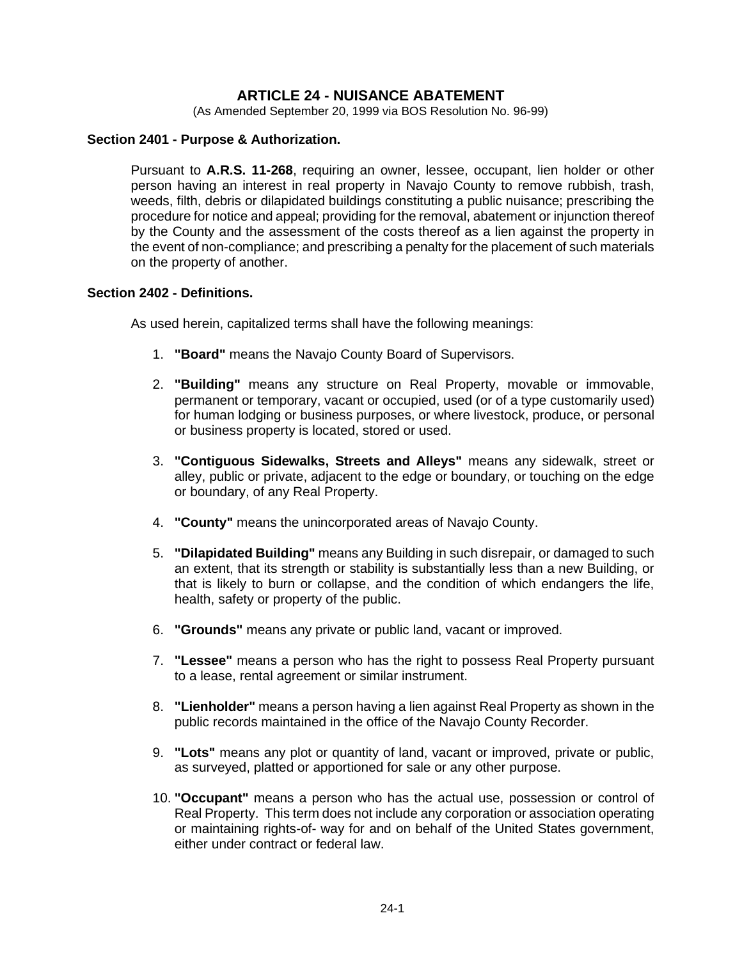# **ARTICLE 24 - NUISANCE ABATEMENT**

(As Amended September 20, 1999 via BOS Resolution No. 96-99)

## **Section 2401 - Purpose & Authorization.**

Pursuant to **A.R.S. 11-268**, requiring an owner, lessee, occupant, lien holder or other person having an interest in real property in Navajo County to remove rubbish, trash, weeds, filth, debris or dilapidated buildings constituting a public nuisance; prescribing the procedure for notice and appeal; providing for the removal, abatement or injunction thereof by the County and the assessment of the costs thereof as a lien against the property in the event of non-compliance; and prescribing a penalty for the placement of such materials on the property of another.

### **Section 2402 - Definitions.**

As used herein, capitalized terms shall have the following meanings:

- 1. **"Board"** means the Navajo County Board of Supervisors.
- 2. **"Building"** means any structure on Real Property, movable or immovable, permanent or temporary, vacant or occupied, used (or of a type customarily used) for human lodging or business purposes, or where livestock, produce, or personal or business property is located, stored or used.
- 3. **"Contiguous Sidewalks, Streets and Alleys"** means any sidewalk, street or alley, public or private, adjacent to the edge or boundary, or touching on the edge or boundary, of any Real Property.
- 4. **"County"** means the unincorporated areas of Navajo County.
- 5. **"Dilapidated Building"** means any Building in such disrepair, or damaged to such an extent, that its strength or stability is substantially less than a new Building, or that is likely to burn or collapse, and the condition of which endangers the life, health, safety or property of the public.
- 6. **"Grounds"** means any private or public land, vacant or improved.
- 7. **"Lessee"** means a person who has the right to possess Real Property pursuant to a lease, rental agreement or similar instrument.
- 8. **"Lienholder"** means a person having a lien against Real Property as shown in the public records maintained in the office of the Navajo County Recorder.
- 9. **"Lots"** means any plot or quantity of land, vacant or improved, private or public, as surveyed, platted or apportioned for sale or any other purpose.
- 10. **"Occupant"** means a person who has the actual use, possession or control of Real Property. This term does not include any corporation or association operating or maintaining rights-of- way for and on behalf of the United States government, either under contract or federal law.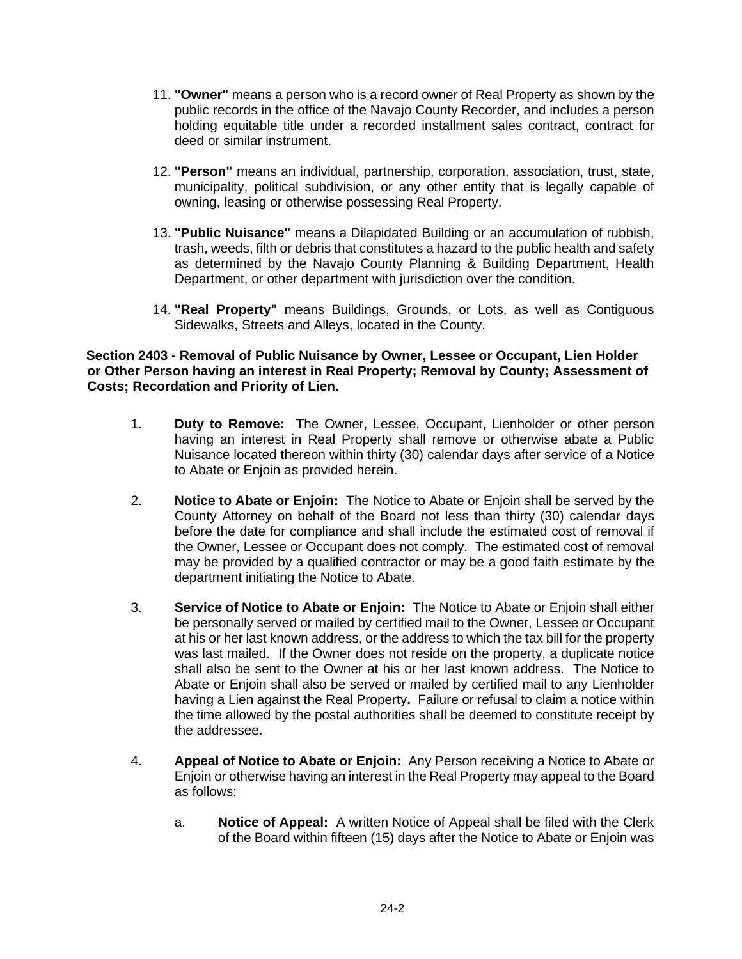- 11. **"Owner"** means a person who is a record owner of Real Property as shown by the public records in the office of the Navajo County Recorder, and includes a person holding equitable title under a recorded installment sales contract, contract for deed or similar instrument.
- 12. **"Person"** means an individual, partnership, corporation, association, trust, state, municipality, political subdivision, or any other entity that is legally capable of owning, leasing or otherwise possessing Real Property.
- 13. **"Public Nuisance"** means a Dilapidated Building or an accumulation of rubbish, trash, weeds, filth or debris that constitutes a hazard to the public health and safety as determined by the Navajo County Planning & Building Department, Health Department, or other department with jurisdiction over the condition.
- 14. **"Real Property"** means Buildings, Grounds, or Lots, as well as Contiguous Sidewalks, Streets and Alleys, located in the County.

### **Section 2403 - Removal of Public Nuisance by Owner, Lessee or Occupant, Lien Holder or Other Person having an interest in Real Property; Removal by County; Assessment of Costs; Recordation and Priority of Lien.**

- 1. **Duty to Remove:** The Owner, Lessee, Occupant, Lienholder or other person having an interest in Real Property shall remove or otherwise abate a Public Nuisance located thereon within thirty (30) calendar days after service of a Notice to Abate or Enjoin as provided herein.
- 2. **Notice to Abate or Enjoin:** The Notice to Abate or Enjoin shall be served by the County Attorney on behalf of the Board not less than thirty (30) calendar days before the date for compliance and shall include the estimated cost of removal if the Owner, Lessee or Occupant does not comply. The estimated cost of removal may be provided by a qualified contractor or may be a good faith estimate by the department initiating the Notice to Abate.
- 3. **Service of Notice to Abate or Enjoin:** The Notice to Abate or Enjoin shall either be personally served or mailed by certified mail to the Owner, Lessee or Occupant at his or her last known address, or the address to which the tax bill for the property was last mailed. If the Owner does not reside on the property, a duplicate notice shall also be sent to the Owner at his or her last known address. The Notice to Abate or Enjoin shall also be served or mailed by certified mail to any Lienholder having a Lien against the Real Property**.** Failure or refusal to claim a notice within the time allowed by the postal authorities shall be deemed to constitute receipt by the addressee.
- 4. **Appeal of Notice to Abate or Enjoin:** Any Person receiving a Notice to Abate or Enjoin or otherwise having an interest in the Real Property may appeal to the Board as follows:
	- a. **Notice of Appeal:** A written Notice of Appeal shall be filed with the Clerk of the Board within fifteen (15) days after the Notice to Abate or Enjoin was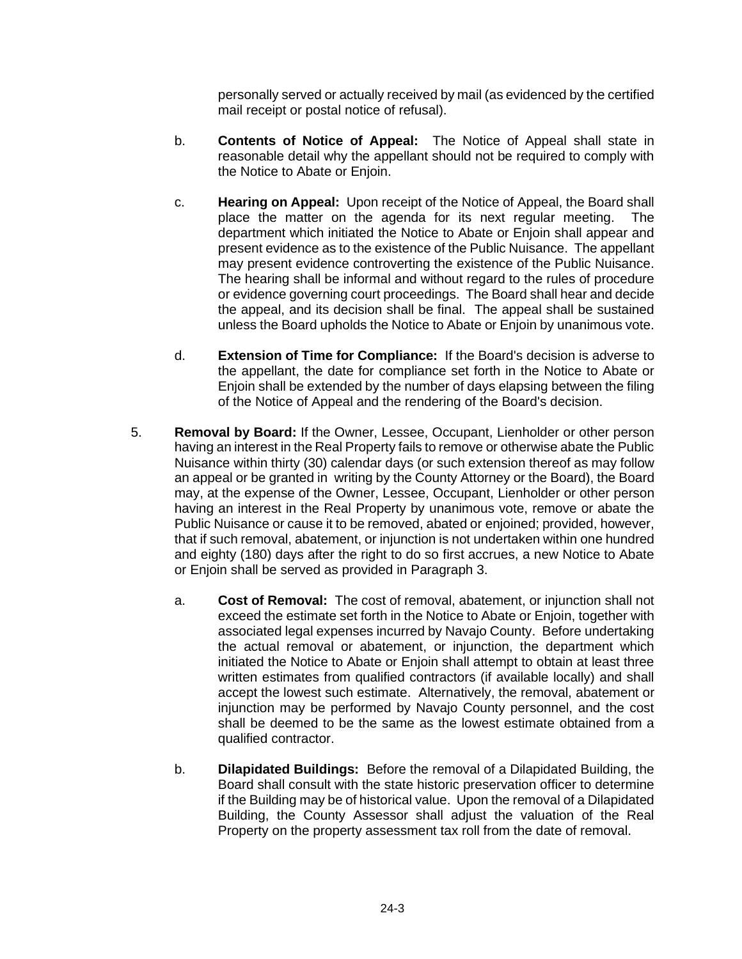personally served or actually received by mail (as evidenced by the certified mail receipt or postal notice of refusal).

- b. **Contents of Notice of Appeal:** The Notice of Appeal shall state in reasonable detail why the appellant should not be required to comply with the Notice to Abate or Enjoin.
- c. **Hearing on Appeal:** Upon receipt of the Notice of Appeal, the Board shall place the matter on the agenda for its next regular meeting. The department which initiated the Notice to Abate or Enjoin shall appear and present evidence as to the existence of the Public Nuisance. The appellant may present evidence controverting the existence of the Public Nuisance. The hearing shall be informal and without regard to the rules of procedure or evidence governing court proceedings. The Board shall hear and decide the appeal, and its decision shall be final. The appeal shall be sustained unless the Board upholds the Notice to Abate or Enjoin by unanimous vote.
- d. **Extension of Time for Compliance:** If the Board's decision is adverse to the appellant, the date for compliance set forth in the Notice to Abate or Enjoin shall be extended by the number of days elapsing between the filing of the Notice of Appeal and the rendering of the Board's decision.
- 5. **Removal by Board:** If the Owner, Lessee, Occupant, Lienholder or other person having an interest in the Real Property fails to remove or otherwise abate the Public Nuisance within thirty (30) calendar days (or such extension thereof as may follow an appeal or be granted in writing by the County Attorney or the Board), the Board may, at the expense of the Owner, Lessee, Occupant, Lienholder or other person having an interest in the Real Property by unanimous vote, remove or abate the Public Nuisance or cause it to be removed, abated or enjoined; provided, however, that if such removal, abatement, or injunction is not undertaken within one hundred and eighty (180) days after the right to do so first accrues, a new Notice to Abate or Enjoin shall be served as provided in Paragraph 3.
	- a. **Cost of Removal:** The cost of removal, abatement, or injunction shall not exceed the estimate set forth in the Notice to Abate or Enjoin, together with associated legal expenses incurred by Navajo County. Before undertaking the actual removal or abatement, or injunction, the department which initiated the Notice to Abate or Enjoin shall attempt to obtain at least three written estimates from qualified contractors (if available locally) and shall accept the lowest such estimate. Alternatively, the removal, abatement or injunction may be performed by Navajo County personnel, and the cost shall be deemed to be the same as the lowest estimate obtained from a qualified contractor.
	- b. **Dilapidated Buildings:** Before the removal of a Dilapidated Building, the Board shall consult with the state historic preservation officer to determine if the Building may be of historical value. Upon the removal of a Dilapidated Building, the County Assessor shall adjust the valuation of the Real Property on the property assessment tax roll from the date of removal.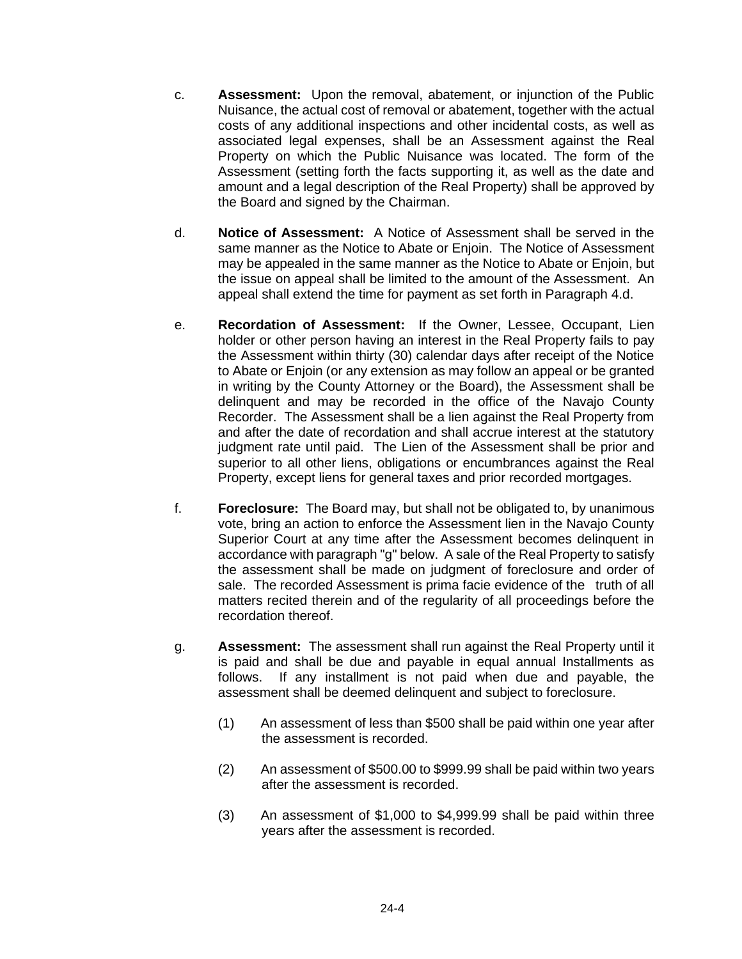- c. **Assessment:** Upon the removal, abatement, or injunction of the Public Nuisance, the actual cost of removal or abatement, together with the actual costs of any additional inspections and other incidental costs, as well as associated legal expenses, shall be an Assessment against the Real Property on which the Public Nuisance was located. The form of the Assessment (setting forth the facts supporting it, as well as the date and amount and a legal description of the Real Property) shall be approved by the Board and signed by the Chairman.
- d. **Notice of Assessment:** A Notice of Assessment shall be served in the same manner as the Notice to Abate or Enjoin. The Notice of Assessment may be appealed in the same manner as the Notice to Abate or Enjoin, but the issue on appeal shall be limited to the amount of the Assessment. An appeal shall extend the time for payment as set forth in Paragraph 4.d.
- e. **Recordation of Assessment:** If the Owner, Lessee, Occupant, Lien holder or other person having an interest in the Real Property fails to pay the Assessment within thirty (30) calendar days after receipt of the Notice to Abate or Enjoin (or any extension as may follow an appeal or be granted in writing by the County Attorney or the Board), the Assessment shall be delinquent and may be recorded in the office of the Navajo County Recorder. The Assessment shall be a lien against the Real Property from and after the date of recordation and shall accrue interest at the statutory judgment rate until paid. The Lien of the Assessment shall be prior and superior to all other liens, obligations or encumbrances against the Real Property, except liens for general taxes and prior recorded mortgages.
- f. **Foreclosure:** The Board may, but shall not be obligated to, by unanimous vote, bring an action to enforce the Assessment lien in the Navajo County Superior Court at any time after the Assessment becomes delinquent in accordance with paragraph "g" below. A sale of the Real Property to satisfy the assessment shall be made on judgment of foreclosure and order of sale. The recorded Assessment is prima facie evidence of the truth of all matters recited therein and of the regularity of all proceedings before the recordation thereof.
- g. **Assessment:** The assessment shall run against the Real Property until it is paid and shall be due and payable in equal annual Installments as follows. If any installment is not paid when due and payable, the assessment shall be deemed delinquent and subject to foreclosure.
	- (1) An assessment of less than \$500 shall be paid within one year after the assessment is recorded.
	- (2) An assessment of \$500.00 to \$999.99 shall be paid within two years after the assessment is recorded.
	- (3) An assessment of \$1,000 to \$4,999.99 shall be paid within three years after the assessment is recorded.